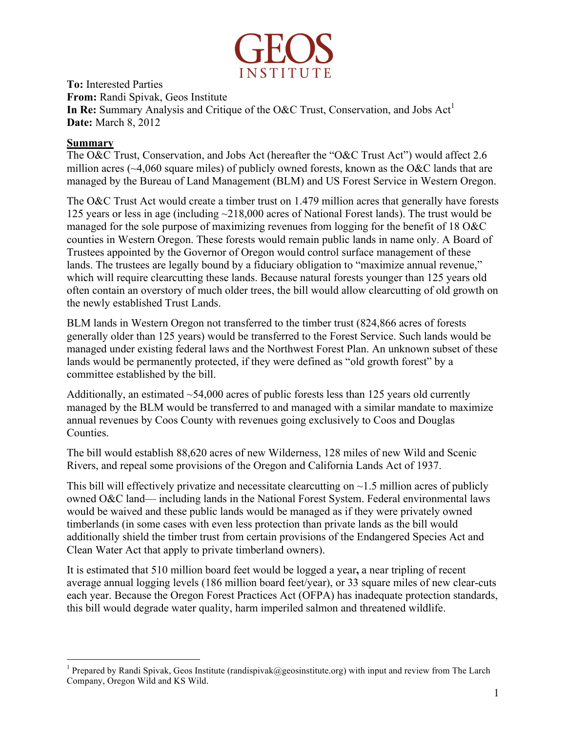

**To:** Interested Parties **From:** Randi Spivak, Geos Institute **In Re:** Summary Analysis and Critique of the O&C Trust, Conservation, and Jobs  $Act<sup>1</sup>$ **Date:** March 8, 2012

#### **Summary**

The O&C Trust, Conservation, and Jobs Act (hereafter the "O&C Trust Act") would affect 2.6 million acres (~4,060 square miles) of publicly owned forests, known as the O&C lands that are managed by the Bureau of Land Management (BLM) and US Forest Service in Western Oregon.

The O&C Trust Act would create a timber trust on 1.479 million acres that generally have forests 125 years or less in age (including ~218,000 acres of National Forest lands). The trust would be managed for the sole purpose of maximizing revenues from logging for the benefit of 18 O&C counties in Western Oregon. These forests would remain public lands in name only. A Board of Trustees appointed by the Governor of Oregon would control surface management of these lands. The trustees are legally bound by a fiduciary obligation to "maximize annual revenue," which will require clearcutting these lands. Because natural forests younger than 125 years old often contain an overstory of much older trees, the bill would allow clearcutting of old growth on the newly established Trust Lands.

BLM lands in Western Oregon not transferred to the timber trust (824,866 acres of forests generally older than 125 years) would be transferred to the Forest Service. Such lands would be managed under existing federal laws and the Northwest Forest Plan. An unknown subset of these lands would be permanently protected, if they were defined as "old growth forest" by a committee established by the bill.

Additionally, an estimated  $\sim$  54,000 acres of public forests less than 125 years old currently managed by the BLM would be transferred to and managed with a similar mandate to maximize annual revenues by Coos County with revenues going exclusively to Coos and Douglas Counties.

The bill would establish 88,620 acres of new Wilderness, 128 miles of new Wild and Scenic Rivers, and repeal some provisions of the Oregon and California Lands Act of 1937.

This bill will effectively privatize and necessitate clearcutting on  $\sim$ 1.5 million acres of publicly owned O&C land— including lands in the National Forest System. Federal environmental laws would be waived and these public lands would be managed as if they were privately owned timberlands (in some cases with even less protection than private lands as the bill would additionally shield the timber trust from certain provisions of the Endangered Species Act and Clean Water Act that apply to private timberland owners).

It is estimated that 510 million board feet would be logged a year**,** a near tripling of recent average annual logging levels (186 million board feet/year), or 33 square miles of new clear-cuts each year. Because the Oregon Forest Practices Act (OFPA) has inadequate protection standards, this bill would degrade water quality, harm imperiled salmon and threatened wildlife.

 $\frac{1}{1}$ <sup>1</sup> Prepared by Randi Spivak, Geos Institute (randispivak@geosinstitute.org) with input and review from The Larch Company, Oregon Wild and KS Wild.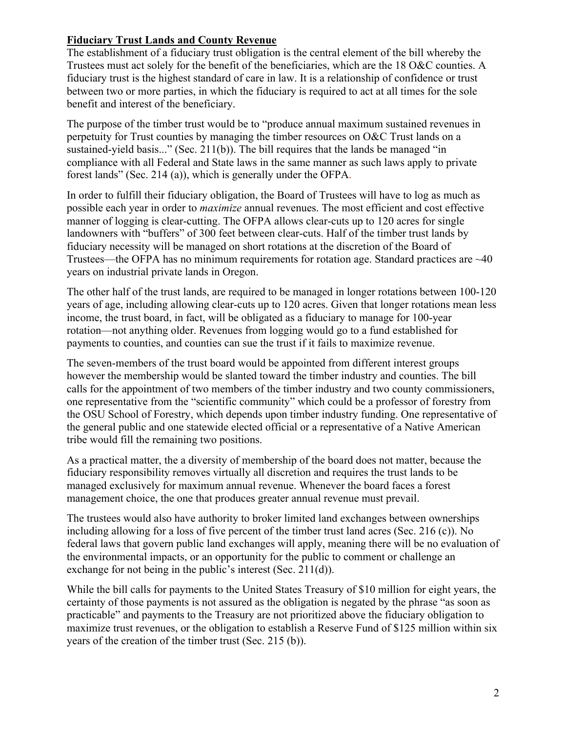# **Fiduciary Trust Lands and County Revenue**

The establishment of a fiduciary trust obligation is the central element of the bill whereby the Trustees must act solely for the benefit of the beneficiaries, which are the 18 O&C counties. A fiduciary trust is the highest standard of care in law. It is a relationship of confidence or trust between two or more parties, in which the fiduciary is required to act at all times for the sole benefit and interest of the beneficiary.

The purpose of the timber trust would be to "produce annual maximum sustained revenues in perpetuity for Trust counties by managing the timber resources on O&C Trust lands on a sustained-yield basis..." (Sec. 211(b)). The bill requires that the lands be managed "in compliance with all Federal and State laws in the same manner as such laws apply to private forest lands" (Sec. 214 (a)), which is generally under the OFPA.

In order to fulfill their fiduciary obligation, the Board of Trustees will have to log as much as possible each year in order to *maximize* annual revenues. The most efficient and cost effective manner of logging is clear-cutting. The OFPA allows clear-cuts up to 120 acres for single landowners with "buffers" of 300 feet between clear-cuts. Half of the timber trust lands by fiduciary necessity will be managed on short rotations at the discretion of the Board of Trustees—the OFPA has no minimum requirements for rotation age. Standard practices are ~40 years on industrial private lands in Oregon.

The other half of the trust lands, are required to be managed in longer rotations between 100-120 years of age, including allowing clear-cuts up to 120 acres. Given that longer rotations mean less income, the trust board, in fact, will be obligated as a fiduciary to manage for 100-year rotation—not anything older. Revenues from logging would go to a fund established for payments to counties, and counties can sue the trust if it fails to maximize revenue.

The seven-members of the trust board would be appointed from different interest groups however the membership would be slanted toward the timber industry and counties. The bill calls for the appointment of two members of the timber industry and two county commissioners, one representative from the "scientific community" which could be a professor of forestry from the OSU School of Forestry, which depends upon timber industry funding. One representative of the general public and one statewide elected official or a representative of a Native American tribe would fill the remaining two positions.

As a practical matter, the a diversity of membership of the board does not matter, because the fiduciary responsibility removes virtually all discretion and requires the trust lands to be managed exclusively for maximum annual revenue. Whenever the board faces a forest management choice, the one that produces greater annual revenue must prevail.

The trustees would also have authority to broker limited land exchanges between ownerships including allowing for a loss of five percent of the timber trust land acres (Sec. 216 (c)). No federal laws that govern public land exchanges will apply, meaning there will be no evaluation of the environmental impacts, or an opportunity for the public to comment or challenge an exchange for not being in the public's interest (Sec. 211(d)).

While the bill calls for payments to the United States Treasury of \$10 million for eight years, the certainty of those payments is not assured as the obligation is negated by the phrase "as soon as practicable" and payments to the Treasury are not prioritized above the fiduciary obligation to maximize trust revenues, or the obligation to establish a Reserve Fund of \$125 million within six years of the creation of the timber trust (Sec. 215 (b)).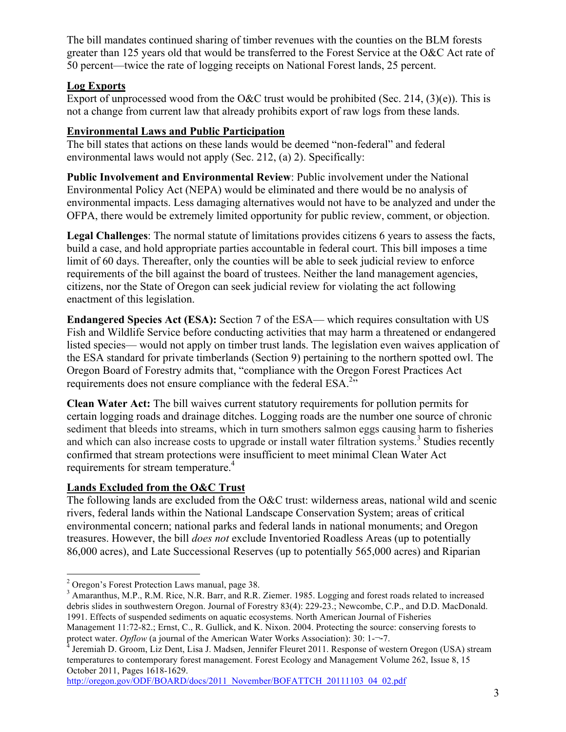The bill mandates continued sharing of timber revenues with the counties on the BLM forests greater than 125 years old that would be transferred to the Forest Service at the O&C Act rate of 50 percent—twice the rate of logging receipts on National Forest lands, 25 percent.

## **Log Exports**

Export of unprocessed wood from the O&C trust would be prohibited (Sec. 214,  $(3)(e)$ ). This is not a change from current law that already prohibits export of raw logs from these lands.

## **Environmental Laws and Public Participation**

The bill states that actions on these lands would be deemed "non-federal" and federal environmental laws would not apply (Sec. 212, (a) 2). Specifically:

**Public Involvement and Environmental Review**: Public involvement under the National Environmental Policy Act (NEPA) would be eliminated and there would be no analysis of environmental impacts. Less damaging alternatives would not have to be analyzed and under the OFPA, there would be extremely limited opportunity for public review, comment, or objection.

**Legal Challenges**: The normal statute of limitations provides citizens 6 years to assess the facts, build a case, and hold appropriate parties accountable in federal court. This bill imposes a time limit of 60 days. Thereafter, only the counties will be able to seek judicial review to enforce requirements of the bill against the board of trustees. Neither the land management agencies, citizens, nor the State of Oregon can seek judicial review for violating the act following enactment of this legislation.

**Endangered Species Act (ESA):** Section 7 of the ESA— which requires consultation with US Fish and Wildlife Service before conducting activities that may harm a threatened or endangered listed species— would not apply on timber trust lands. The legislation even waives application of the ESA standard for private timberlands (Section 9) pertaining to the northern spotted owl. The Oregon Board of Forestry admits that, "compliance with the Oregon Forest Practices Act requirements does not ensure compliance with the federal  $ESA.^{2n}$ .

**Clean Water Act:** The bill waives current statutory requirements for pollution permits for certain logging roads and drainage ditches. Logging roads are the number one source of chronic sediment that bleeds into streams, which in turn smothers salmon eggs causing harm to fisheries and which can also increase costs to upgrade or install water filtration systems.<sup>3</sup> Studies recently confirmed that stream protections were insufficient to meet minimal Clean Water Act requirements for stream temperature.<sup>4</sup>

# **Lands Excluded from the O&C Trust**

The following lands are excluded from the O&C trust: wilderness areas, national wild and scenic rivers, federal lands within the National Landscape Conservation System; areas of critical environmental concern; national parks and federal lands in national monuments; and Oregon treasures. However, the bill *does not* exclude Inventoried Roadless Areas (up to potentially 86,000 acres), and Late Successional Reserves (up to potentially 565,000 acres) and Riparian

http://oregon.gov/ODF/BOARD/docs/2011\_November/BOFATTCH\_20111103\_04\_02.pdf

<sup>&</sup>lt;sup>2</sup> Oregon's Forest Protection Laws manual, page 38.<br><sup>3</sup> Amaranthus, M.P., R.M. Rice, N.R. Barr, and R.R. Ziemer. 1985. Logging and forest roads related to increased debris slides in southwestern Oregon. Journal of Forestry 83(4): 229-23.; Newcombe, C.P., and D.D. MacDonald. 1991. Effects of suspended sediments on aquatic ecosystems. North American Journal of Fisheries

Management 11:72-82.; Ernst, C., R. Gullick, and K. Nixon. 2004. Protecting the source: conserving forests to protect water. *Opflow* (a journal of the American Water Works Association): 30: 1-¬-7.<br><sup>4</sup> Jeremiah D. Groom, Liz Dent, Lisa J. Madsen, Jennifer Fleuret 2011. Response of western Oregon (USA) stream

temperatures to contemporary forest management. Forest Ecology and Management Volume 262, Issue 8, 15 October 2011, Pages 1618-1629.